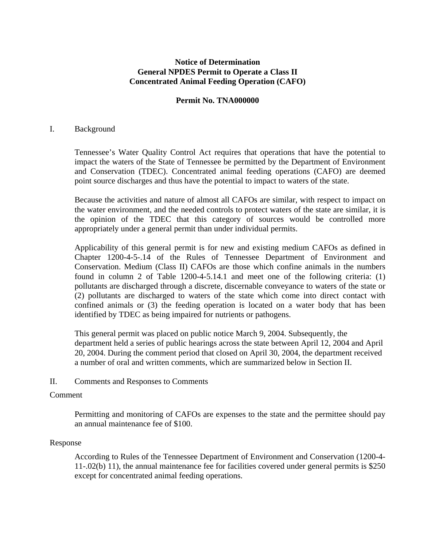# **Notice of Determination General NPDES Permit to Operate a Class II Concentrated Animal Feeding Operation (CAFO)**

# **Permit No. TNA000000**

### I. Background

Tennessee's Water Quality Control Act requires that operations that have the potential to impact the waters of the State of Tennessee be permitted by the Department of Environment and Conservation (TDEC). Concentrated animal feeding operations (CAFO) are deemed point source discharges and thus have the potential to impact to waters of the state.

Because the activities and nature of almost all CAFOs are similar, with respect to impact on the water environment, and the needed controls to protect waters of the state are similar, it is the opinion of the TDEC that this category of sources would be controlled more appropriately under a general permit than under individual permits.

Applicability of this general permit is for new and existing medium CAFOs as defined in Chapter 1200-4-5-.14 of the Rules of Tennessee Department of Environment and Conservation. Medium (Class II) CAFOs are those which confine animals in the numbers found in column 2 of Table 1200-4-5.14.1 and meet one of the following criteria: (1) pollutants are discharged through a discrete, discernable conveyance to waters of the state or (2) pollutants are discharged to waters of the state which come into direct contact with confined animals or (3) the feeding operation is located on a water body that has been identified by TDEC as being impaired for nutrients or pathogens.

This general permit was placed on public notice March 9, 2004. Subsequently, the department held a series of public hearings across the state between April 12, 2004 and April 20, 2004. During the comment period that closed on April 30, 2004, the department received a number of oral and written comments, which are summarized below in Section II.

II. Comments and Responses to Comments

# Comment

Permitting and monitoring of CAFOs are expenses to the state and the permittee should pay an annual maintenance fee of \$100.

# Response

According to Rules of the Tennessee Department of Environment and Conservation (1200-4- 11-.02(b) 11), the annual maintenance fee for facilities covered under general permits is \$250 except for concentrated animal feeding operations.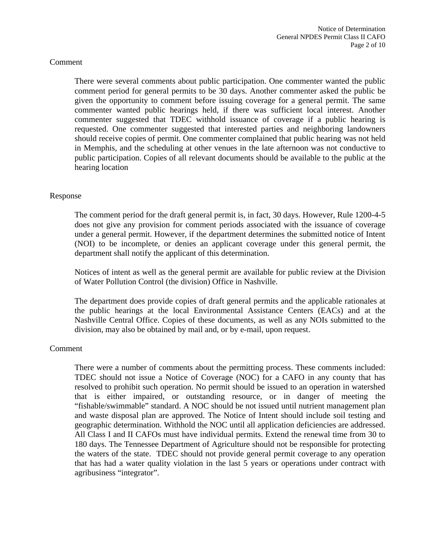There were several comments about public participation. One commenter wanted the public comment period for general permits to be 30 days. Another commenter asked the public be given the opportunity to comment before issuing coverage for a general permit. The same commenter wanted public hearings held, if there was sufficient local interest. Another commenter suggested that TDEC withhold issuance of coverage if a public hearing is requested. One commenter suggested that interested parties and neighboring landowners should receive copies of permit. One commenter complained that public hearing was not held in Memphis, and the scheduling at other venues in the late afternoon was not conductive to public participation. Copies of all relevant documents should be available to the public at the hearing location

### Response

 The comment period for the draft general permit is, in fact, 30 days. However, Rule 1200-4-5 does not give any provision for comment periods associated with the issuance of coverage under a general permit. However, if the department determines the submitted notice of Intent (NOI) to be incomplete, or denies an applicant coverage under this general permit, the department shall notify the applicant of this determination.

Notices of intent as well as the general permit are available for public review at the Division of Water Pollution Control (the division) Office in Nashville.

The department does provide copies of draft general permits and the applicable rationales at the public hearings at the local Environmental Assistance Centers (EACs) and at the Nashville Central Office. Copies of these documents, as well as any NOIs submitted to the division, may also be obtained by mail and, or by e-mail, upon request.

#### Comment

There were a number of comments about the permitting process. These comments included: TDEC should not issue a Notice of Coverage (NOC) for a CAFO in any county that has resolved to prohibit such operation. No permit should be issued to an operation in watershed that is either impaired, or outstanding resource, or in danger of meeting the "fishable/swimmable" standard. A NOC should be not issued until nutrient management plan and waste disposal plan are approved. The Notice of Intent should include soil testing and geographic determination. Withhold the NOC until all application deficiencies are addressed. All Class I and II CAFOs must have individual permits. Extend the renewal time from 30 to 180 days. The Tennessee Department of Agriculture should not be responsible for protecting the waters of the state. TDEC should not provide general permit coverage to any operation that has had a water quality violation in the last 5 years or operations under contract with agribusiness "integrator".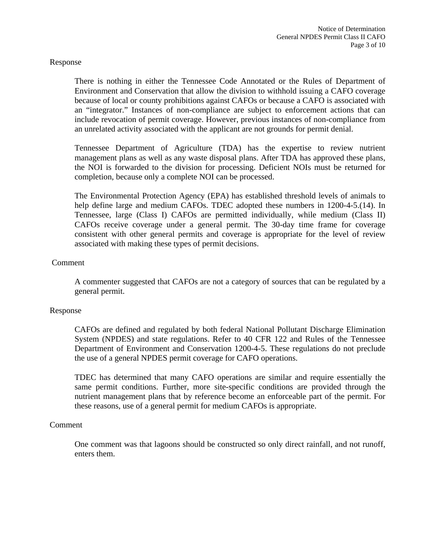There is nothing in either the Tennessee Code Annotated or the Rules of Department of Environment and Conservation that allow the division to withhold issuing a CAFO coverage because of local or county prohibitions against CAFOs or because a CAFO is associated with an "integrator." Instances of non-compliance are subject to enforcement actions that can include revocation of permit coverage. However, previous instances of non-compliance from an unrelated activity associated with the applicant are not grounds for permit denial.

Tennessee Department of Agriculture (TDA) has the expertise to review nutrient management plans as well as any waste disposal plans. After TDA has approved these plans, the NOI is forwarded to the division for processing. Deficient NOIs must be returned for completion, because only a complete NOI can be processed.

The Environmental Protection Agency (EPA) has established threshold levels of animals to help define large and medium CAFOs. TDEC adopted these numbers in 1200-4-5.(14). In Tennessee, large (Class I) CAFOs are permitted individually, while medium (Class II) CAFOs receive coverage under a general permit. The 30-day time frame for coverage consistent with other general permits and coverage is appropriate for the level of review associated with making these types of permit decisions.

# Comment

A commenter suggested that CAFOs are not a category of sources that can be regulated by a general permit.

#### Response

CAFOs are defined and regulated by both federal National Pollutant Discharge Elimination System (NPDES) and state regulations. Refer to 40 CFR 122 and Rules of the Tennessee Department of Environment and Conservation 1200-4-5. These regulations do not preclude the use of a general NPDES permit coverage for CAFO operations.

TDEC has determined that many CAFO operations are similar and require essentially the same permit conditions. Further, more site-specific conditions are provided through the nutrient management plans that by reference become an enforceable part of the permit. For these reasons, use of a general permit for medium CAFOs is appropriate.

#### Comment

One comment was that lagoons should be constructed so only direct rainfall, and not runoff, enters them.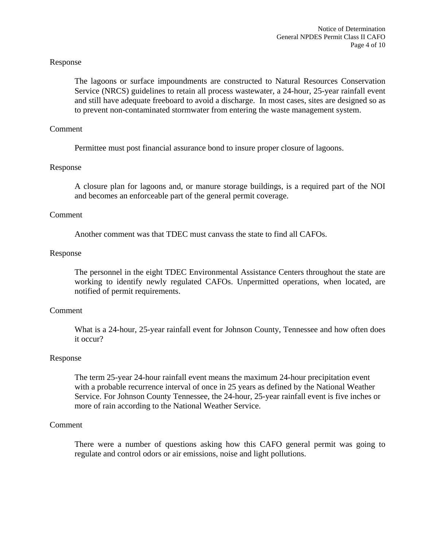The lagoons or surface impoundments are constructed to Natural Resources Conservation Service (NRCS) guidelines to retain all process wastewater, a 24-hour, 25-year rainfall event and still have adequate freeboard to avoid a discharge. In most cases, sites are designed so as to prevent non-contaminated stormwater from entering the waste management system.

### Comment

Permittee must post financial assurance bond to insure proper closure of lagoons.

### Response

A closure plan for lagoons and, or manure storage buildings, is a required part of the NOI and becomes an enforceable part of the general permit coverage.

### Comment

Another comment was that TDEC must canvass the state to find all CAFOs.

#### Response

The personnel in the eight TDEC Environmental Assistance Centers throughout the state are working to identify newly regulated CAFOs. Unpermitted operations, when located, are notified of permit requirements.

#### Comment

 What is a 24-hour, 25-year rainfall event for Johnson County, Tennessee and how often does it occur?

#### Response

 The term 25-year 24-hour rainfall event means the maximum 24-hour precipitation event with a probable recurrence interval of once in 25 years as defined by the National Weather Service. For Johnson County Tennessee, the 24-hour, 25-year rainfall event is five inches or more of rain according to the National Weather Service.

#### Comment

 There were a number of questions asking how this CAFO general permit was going to regulate and control odors or air emissions, noise and light pollutions.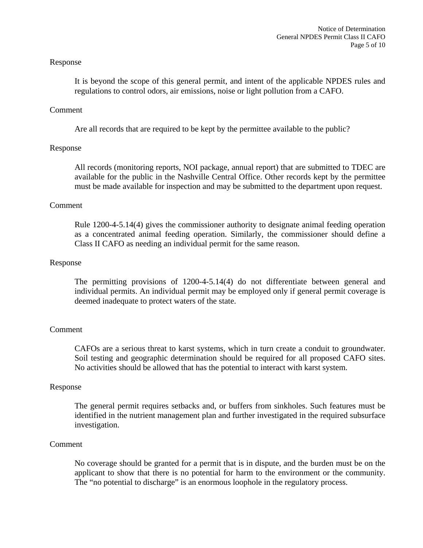It is beyond the scope of this general permit, and intent of the applicable NPDES rules and regulations to control odors, air emissions, noise or light pollution from a CAFO.

### Comment

Are all records that are required to be kept by the permittee available to the public?

# Response

All records (monitoring reports, NOI package, annual report) that are submitted to TDEC are available for the public in the Nashville Central Office. Other records kept by the permittee must be made available for inspection and may be submitted to the department upon request.

### Comment

Rule 1200-4-5.14(4) gives the commissioner authority to designate animal feeding operation as a concentrated animal feeding operation. Similarly, the commissioner should define a Class II CAFO as needing an individual permit for the same reason.

### Response

The permitting provisions of 1200-4-5.14(4) do not differentiate between general and individual permits. An individual permit may be employed only if general permit coverage is deemed inadequate to protect waters of the state.

# Comment

CAFOs are a serious threat to karst systems, which in turn create a conduit to groundwater. Soil testing and geographic determination should be required for all proposed CAFO sites. No activities should be allowed that has the potential to interact with karst system.

#### Response

The general permit requires setbacks and, or buffers from sinkholes. Such features must be identified in the nutrient management plan and further investigated in the required subsurface investigation.

#### Comment

No coverage should be granted for a permit that is in dispute, and the burden must be on the applicant to show that there is no potential for harm to the environment or the community. The "no potential to discharge" is an enormous loophole in the regulatory process.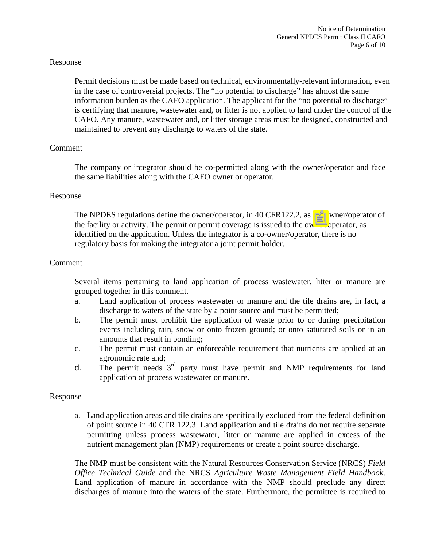Permit decisions must be made based on technical, environmentally-relevant information, even in the case of controversial projects. The "no potential to discharge" has almost the same information burden as the CAFO application. The applicant for the "no potential to discharge" is certifying that manure, wastewater and, or litter is not applied to land under the control of the CAFO. Any manure, wastewater and, or litter storage areas must be designed, constructed and maintained to prevent any discharge to waters of the state.

# Comment

The company or integrator should be co-permitted along with the owner/operator and face the same liabilities along with the CAFO owner or operator.

#### Response

The NPDES regulations define the owner/operator, in 40 CFR122.2, as the owner/operator of the facility or activity. The permit or permit coverage is issued to the owner/operator, as identified on the application. Unless the integrator is a co-owner/operator, there is no regulatory basis for making the integrator a joint permit holder.

### Comment

Several items pertaining to land application of process wastewater, litter or manure are grouped together in this comment.

- a. Land application of process wastewater or manure and the tile drains are, in fact, a discharge to waters of the state by a point source and must be permitted;
- b. The permit must prohibit the application of waste prior to or during precipitation events including rain, snow or onto frozen ground; or onto saturated soils or in an amounts that result in ponding;
- c. The permit must contain an enforceable requirement that nutrients are applied at an agronomic rate and;
- d. The permit needs  $3<sup>rd</sup>$  party must have permit and NMP requirements for land application of process wastewater or manure.

#### Response

a. Land application areas and tile drains are specifically excluded from the federal definition of point source in 40 CFR 122.3. Land application and tile drains do not require separate permitting unless process wastewater, litter or manure are applied in excess of the nutrient management plan (NMP) requirements or create a point source discharge.

The NMP must be consistent with the Natural Resources Conservation Service (NRCS) *Field Office Technical Guide* and the NRCS *Agriculture Waste Management Field Handbook*. Land application of manure in accordance with the NMP should preclude any direct discharges of manure into the waters of the state. Furthermore, the permittee is required to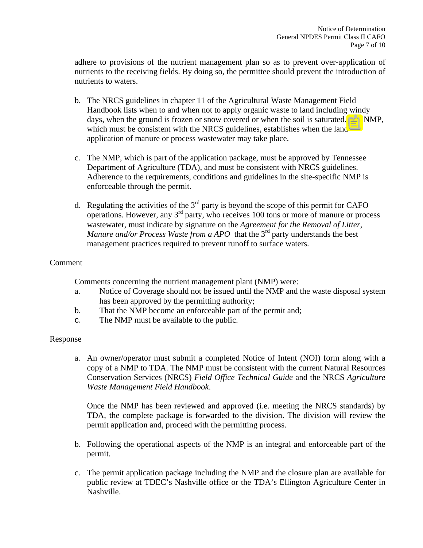adhere to provisions of the nutrient management plan so as to prevent over-application of nutrients to the receiving fields. By doing so, the permittee should prevent the introduction of nutrients to waters.

- b. The NRCS guidelines in chapter 11 of the Agricultural Waste Management Field Handbook lists when to and when not to apply organic waste to land including windy days, when the ground is frozen or snow covered or when the soil is saturated. The NMP, which must be consistent with the NRCS guidelines, establishes when the land application of manure or process wastewater may take place.
- c. The NMP, which is part of the application package, must be approved by Tennessee Department of Agriculture (TDA), and must be consistent with NRCS guidelines. Adherence to the requirements, conditions and guidelines in the site-specific NMP is enforceable through the permit.
- d. Regulating the activities of the  $3<sup>rd</sup>$  party is beyond the scope of this permit for CAFO operations. However, any 3rd party, who receives 100 tons or more of manure or process wastewater, must indicate by signature on the *Agreement for the Removal of Litter, Manure and/or Process Waste from a APO* that the 3<sup>rd</sup> party understands the best management practices required to prevent runoff to surface waters.

# Comment

Comments concerning the nutrient management plant (NMP) were:

- a. Notice of Coverage should not be issued until the NMP and the waste disposal system has been approved by the permitting authority;
- b. That the NMP become an enforceable part of the permit and;
- c. The NMP must be available to the public.

# Response

a. An owner/operator must submit a completed Notice of Intent (NOI) form along with a copy of a NMP to TDA. The NMP must be consistent with the current Natural Resources Conservation Services (NRCS) *Field Office Technical Guide* and the NRCS *Agriculture Waste Management Field Handbook*.

Once the NMP has been reviewed and approved (i.e. meeting the NRCS standards) by TDA, the complete package is forwarded to the division. The division will review the permit application and, proceed with the permitting process.

- b. Following the operational aspects of the NMP is an integral and enforceable part of the permit.
- c. The permit application package including the NMP and the closure plan are available for public review at TDEC's Nashville office or the TDA's Ellington Agriculture Center in Nashville.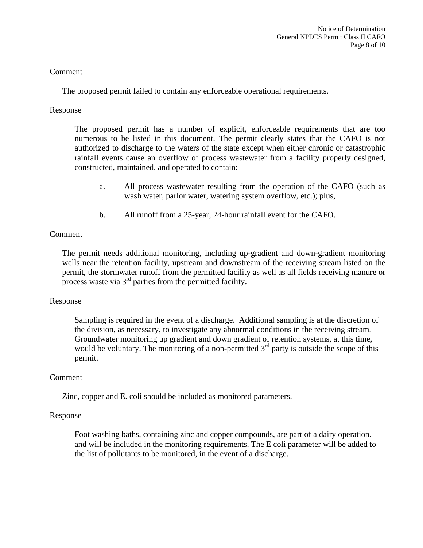The proposed permit failed to contain any enforceable operational requirements.

# Response

The proposed permit has a number of explicit, enforceable requirements that are too numerous to be listed in this document. The permit clearly states that the CAFO is not authorized to discharge to the waters of the state except when either chronic or catastrophic rainfall events cause an overflow of process wastewater from a facility properly designed, constructed, maintained, and operated to contain:

- a. All process wastewater resulting from the operation of the CAFO (such as wash water, parlor water, watering system overflow, etc.); plus,
- b. All runoff from a 25-year, 24-hour rainfall event for the CAFO.

# Comment

The permit needs additional monitoring, including up-gradient and down-gradient monitoring wells near the retention facility, upstream and downstream of the receiving stream listed on the permit, the stormwater runoff from the permitted facility as well as all fields receiving manure or process waste via  $3<sup>rd</sup>$  parties from the permitted facility.

# Response

 Sampling is required in the event of a discharge. Additional sampling is at the discretion of the division, as necessary, to investigate any abnormal conditions in the receiving stream. Groundwater monitoring up gradient and down gradient of retention systems, at this time, would be voluntary. The monitoring of a non-permitted  $3<sup>rd</sup>$  party is outside the scope of this permit.

# Comment

Zinc, copper and E. coli should be included as monitored parameters.

# Response

 Foot washing baths, containing zinc and copper compounds, are part of a dairy operation. and will be included in the monitoring requirements. The E coli parameter will be added to the list of pollutants to be monitored, in the event of a discharge.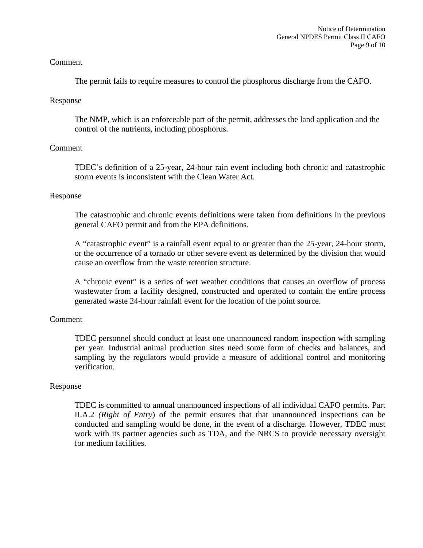The permit fails to require measures to control the phosphorus discharge from the CAFO.

# Response

 The NMP, which is an enforceable part of the permit, addresses the land application and the control of the nutrients, including phosphorus.

# Comment

TDEC's definition of a 25-year, 24-hour rain event including both chronic and catastrophic storm events is inconsistent with the Clean Water Act.

# Response

The catastrophic and chronic events definitions were taken from definitions in the previous general CAFO permit and from the EPA definitions.

A "catastrophic event" is a rainfall event equal to or greater than the 25-year, 24-hour storm, or the occurrence of a tornado or other severe event as determined by the division that would cause an overflow from the waste retention structure.

A "chronic event" is a series of wet weather conditions that causes an overflow of process wastewater from a facility designed, constructed and operated to contain the entire process generated waste 24-hour rainfall event for the location of the point source.

# Comment

TDEC personnel should conduct at least one unannounced random inspection with sampling per year. Industrial animal production sites need some form of checks and balances, and sampling by the regulators would provide a measure of additional control and monitoring verification.

# Response

TDEC is committed to annual unannounced inspections of all individual CAFO permits. Part II.A.2 *(Right of Entry*) of the permit ensures that that unannounced inspections can be conducted and sampling would be done, in the event of a discharge. However, TDEC must work with its partner agencies such as TDA, and the NRCS to provide necessary oversight for medium facilities.